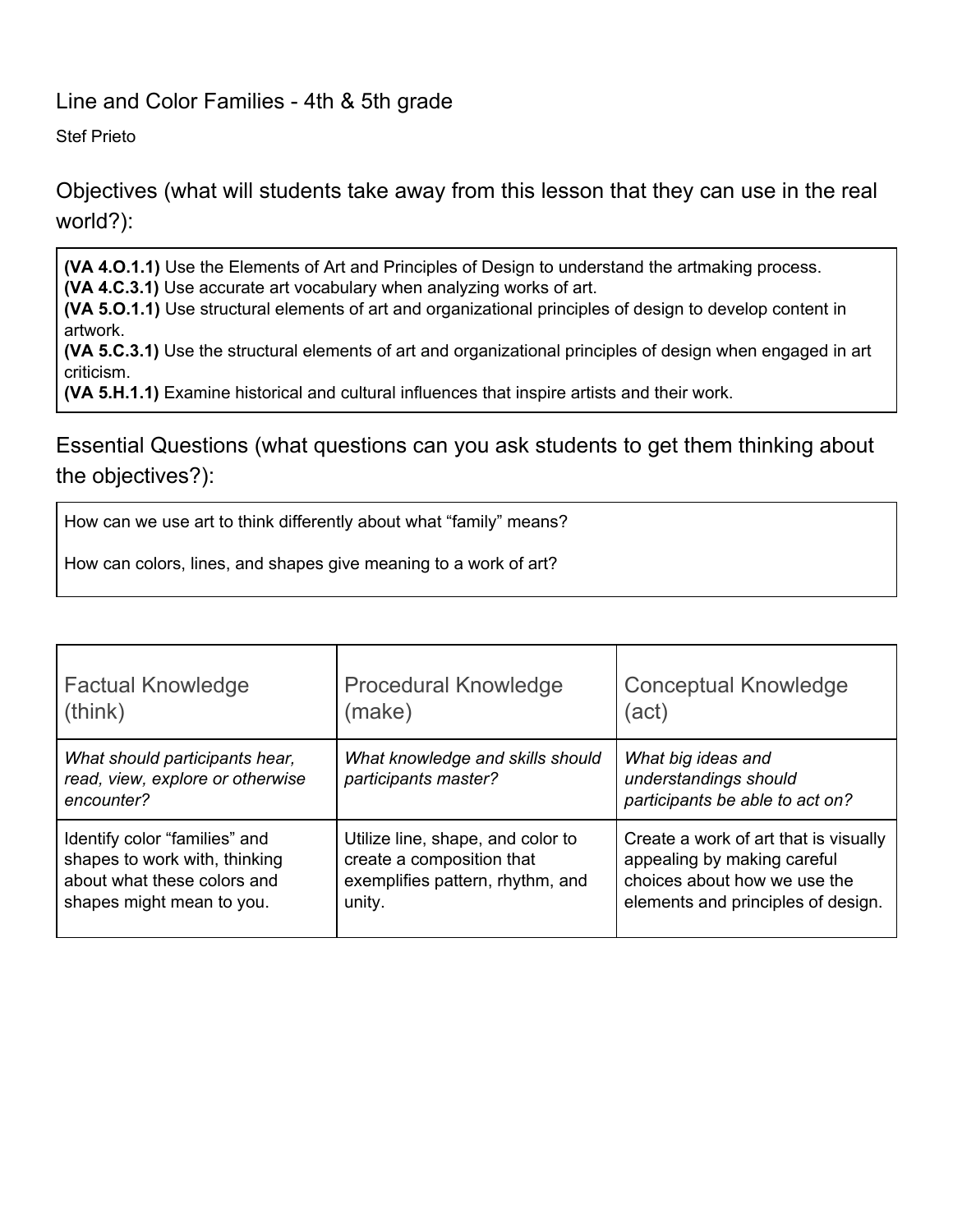## Line and Color Families - 4th & 5th grade

Stef Prieto

Objectives (what will students take away from this lesson that they can use in the real world?):

**(VA 4.O.1.1)** Use the Elements of Art and Principles of Design to understand the artmaking process.

**(VA 4.C.3.1)** Use accurate art vocabulary when analyzing works of art.

**(VA 5.O.1.1)** Use structural elements of art and organizational principles of design to develop content in artwork.

**(VA 5.C.3.1)** Use the structural elements of art and organizational principles of design when engaged in art criticism.

**(VA 5.H.1.1)** Examine historical and cultural influences that inspire artists and their work.

Essential Questions (what questions can you ask students to get them thinking about the objectives?):

How can we use art to think differently about what "family" means?

How can colors, lines, and shapes give meaning to a work of art?

| <b>Factual Knowledge</b>                                                         | <b>Procedural Knowledge</b>                              | <b>Conceptual Knowledge</b>                                                    |
|----------------------------------------------------------------------------------|----------------------------------------------------------|--------------------------------------------------------------------------------|
| (think)                                                                          | (make)                                                   | (act)                                                                          |
| What should participants hear,<br>read, view, explore or otherwise<br>encounter? | What knowledge and skills should<br>participants master? | What big ideas and<br>understandings should<br>participants be able to act on? |
| Identify color "families" and                                                    | Utilize line, shape, and color to                        | Create a work of art that is visually                                          |
| shapes to work with, thinking                                                    | create a composition that                                | appealing by making careful                                                    |
| about what these colors and                                                      | exemplifies pattern, rhythm, and                         | choices about how we use the                                                   |
| shapes might mean to you.                                                        | unity.                                                   | elements and principles of design.                                             |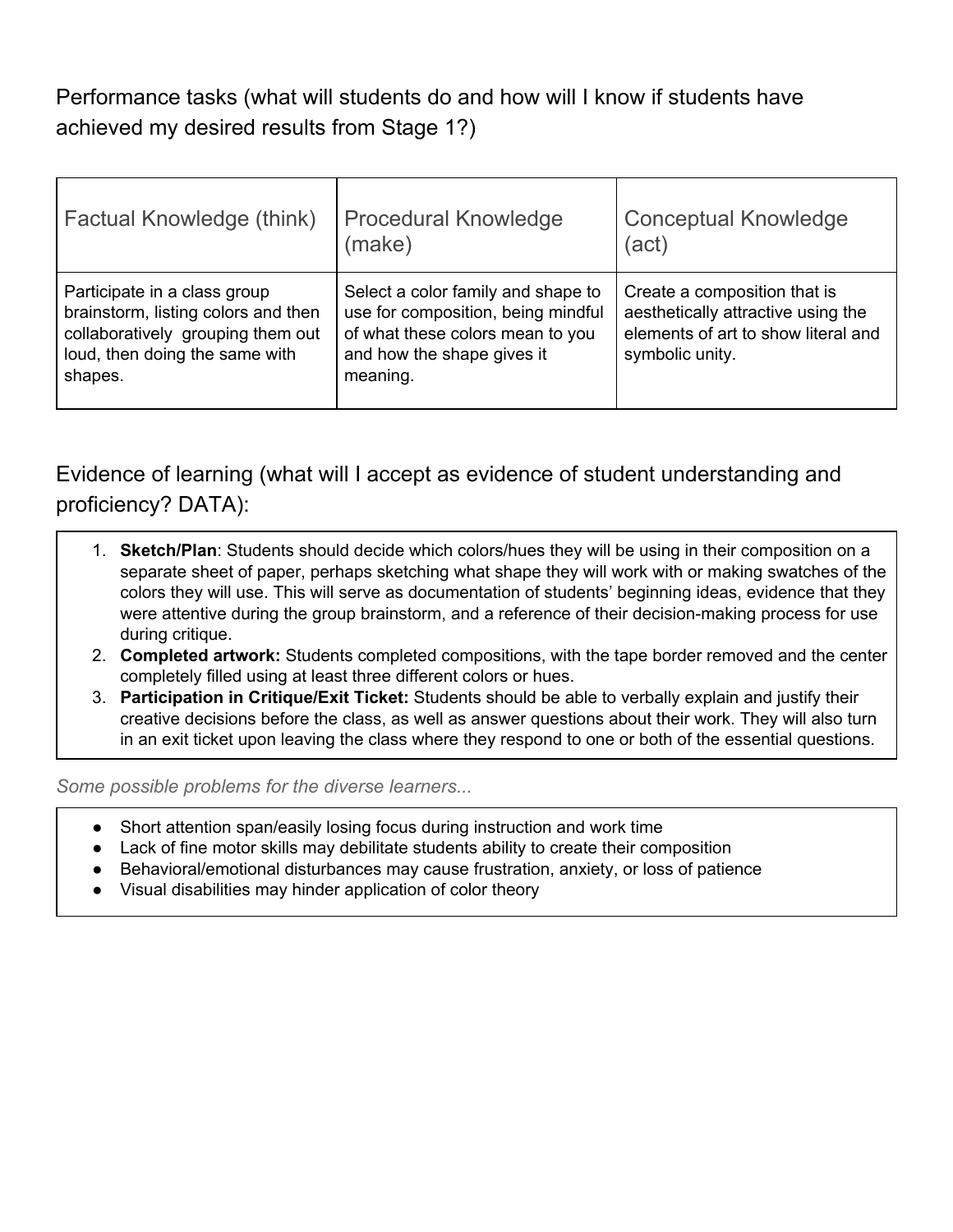Performance tasks (what will students do and how will I know if students have achieved my desired results from Stage 1?)

| Factual Knowledge (think)                                                                                                                             | <b>Procedural Knowledge</b><br>(make)                                                                                                                  | <b>Conceptual Knowledge</b><br>(act)                                                                                         |
|-------------------------------------------------------------------------------------------------------------------------------------------------------|--------------------------------------------------------------------------------------------------------------------------------------------------------|------------------------------------------------------------------------------------------------------------------------------|
| Participate in a class group<br>brainstorm, listing colors and then<br>collaboratively grouping them out<br>loud, then doing the same with<br>shapes. | Select a color family and shape to<br>use for composition, being mindful<br>of what these colors mean to you<br>and how the shape gives it<br>meaning. | Create a composition that is<br>aesthetically attractive using the<br>elements of art to show literal and<br>symbolic unity. |

Evidence of learning (what will I accept as evidence of student understanding and proficiency? DATA):

- 1. **Sketch/Plan**: Students should decide which colors/hues they will be using in their composition on a separate sheet of paper, perhaps sketching what shape they will work with or making swatches of the colors they will use. This will serve as documentation of students' beginning ideas, evidence that they were attentive during the group brainstorm, and a reference of their decision-making process for use during critique.
- 2. **Completed artwork:** Students completed compositions, with the tape border removed and the center completely filled using at least three different colors or hues.
- 3. **Participation in Critique/Exit Ticket:** Students should be able to verbally explain and justify their creative decisions before the class, as well as answer questions about their work. They will also turn in an exit ticket upon leaving the class where they respond to one or both of the essential questions.

*Some possible problems for the diverse learners...*

- Short attention span/easily losing focus during instruction and work time
- Lack of fine motor skills may debilitate students ability to create their composition
- Behavioral/emotional disturbances may cause frustration, anxiety, or loss of patience
- Visual disabilities may hinder application of color theory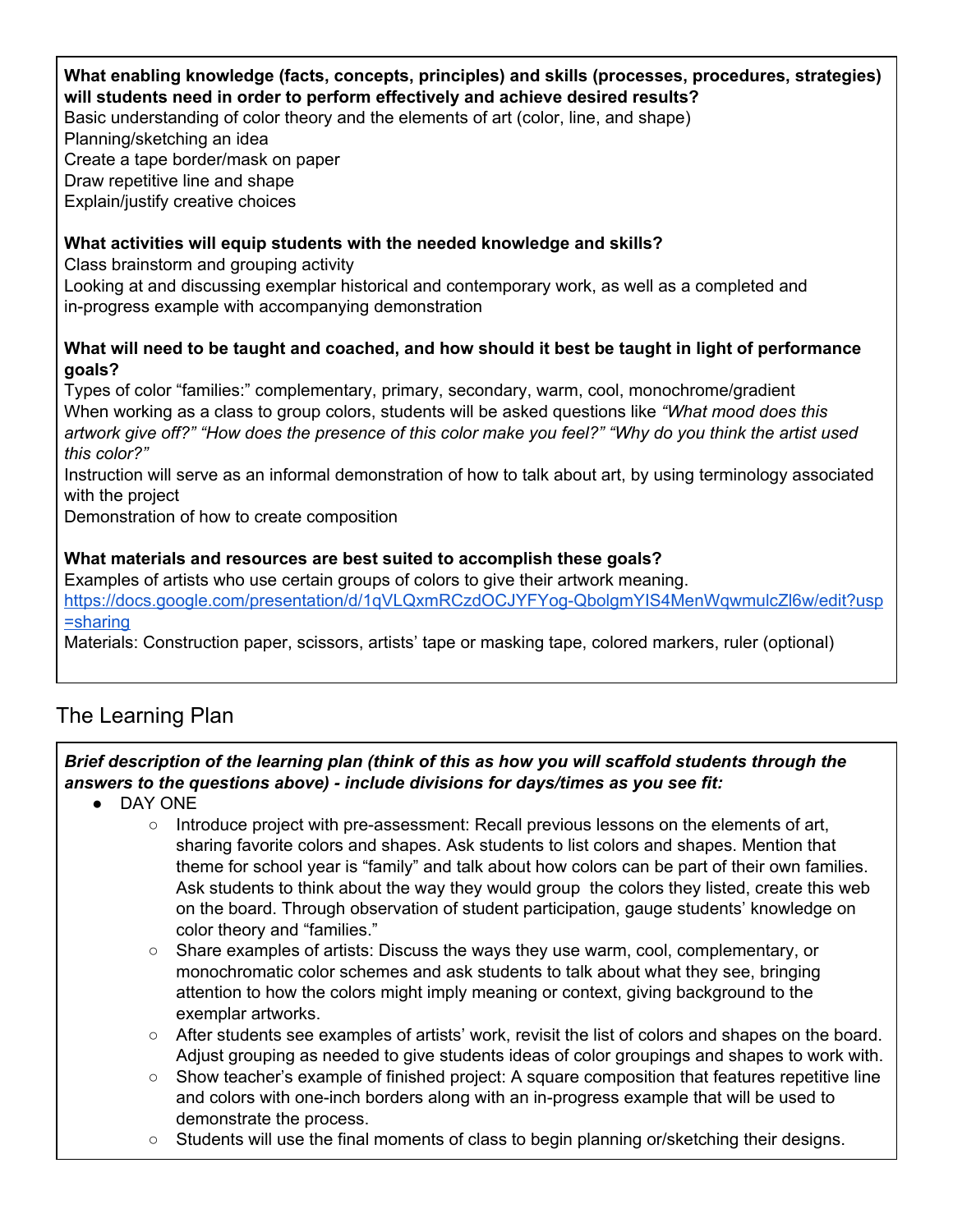## **What enabling knowledge (facts, concepts, principles) and skills (processes, procedures, strategies) will students need in order to perform effectively and achieve desired results?**

Basic understanding of color theory and the elements of art (color, line, and shape)

Planning/sketching an idea

Create a tape border/mask on paper

Draw repetitive line and shape

Explain/justify creative choices

## **What activities will equip students with the needed knowledge and skills?**

Class brainstorm and grouping activity

Looking at and discussing exemplar historical and contemporary work, as well as a completed and in-progress example with accompanying demonstration

#### What will need to be taught and coached, and how should it best be taught in light of performance **goals?**

Types of color "families:" complementary, primary, secondary, warm, cool, monochrome/gradient When working as a class to group colors, students will be asked questions like *"What mood does this* artwork give off?" "How does the presence of this color make you feel?" "Why do you think the artist used *this color?"*

Instruction will serve as an informal demonstration of how to talk about art, by using terminology associated with the project

Demonstration of how to create composition

## **What materials and resources are best suited to accomplish these goals?**

Examples of artists who use certain groups of colors to give their artwork meaning. [https://docs.google.com/presentation/d/1qVLQxmRCzdOCJYFYog-QbolgmYIS4MenWqwmulcZl6w/edit?usp](https://docs.google.com/presentation/d/1qVLQxmRCzdOCJYFYog-QbolgmYIS4MenWqwmulcZl6w/edit?usp=sharing) [=sharing](https://docs.google.com/presentation/d/1qVLQxmRCzdOCJYFYog-QbolgmYIS4MenWqwmulcZl6w/edit?usp=sharing)

Materials: Construction paper, scissors, artists' tape or masking tape, colored markers, ruler (optional)

# The Learning Plan

## *Brief description of the learning plan (think of this as how you will scaffold students through the answers to the questions above) - include divisions for days/times as you see fit:*

- DAY ONE
	- Introduce project with pre-assessment: Recall previous lessons on the elements of art, sharing favorite colors and shapes. Ask students to list colors and shapes. Mention that theme for school year is "family" and talk about how colors can be part of their own families. Ask students to think about the way they would group the colors they listed, create this web on the board. Through observation of student participation, gauge students' knowledge on color theory and "families."
	- Share examples of artists: Discuss the ways they use warm, cool, complementary, or monochromatic color schemes and ask students to talk about what they see, bringing attention to how the colors might imply meaning or context, giving background to the exemplar artworks.
	- After students see examples of artists' work, revisit the list of colors and shapes on the board. Adjust grouping as needed to give students ideas of color groupings and shapes to work with.
	- Show teacher's example of finished project: A square composition that features repetitive line and colors with one-inch borders along with an in-progress example that will be used to demonstrate the process.
	- $\circ$  Students will use the final moments of class to begin planning or/sketching their designs.